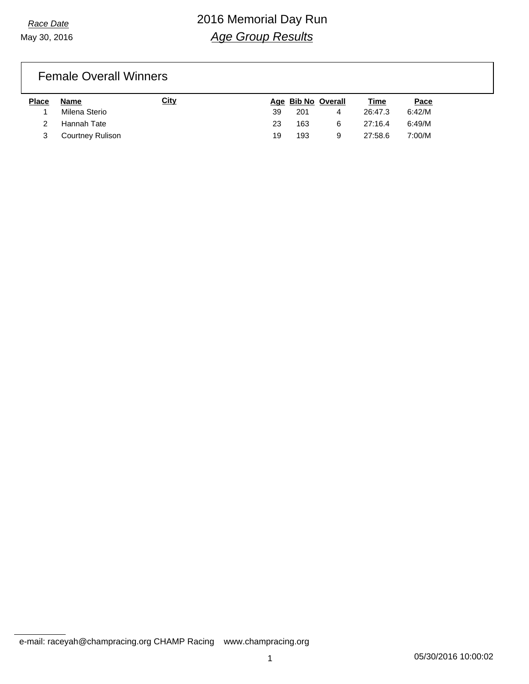May 30, 2016

# *Race Date* 2016 Memorial Day Run *Age Group Results*

### Female Overall Winners

| <b>Place</b> | Name                    | <u>City</u> |    | Age Bib No Overall |   | Time    | Pace   |
|--------------|-------------------------|-------------|----|--------------------|---|---------|--------|
|              | Milena Sterio           |             | 39 | 201                | 4 | 26:47.3 | 6:42/M |
|              | Hannah Tate             |             | 23 | 163                | 6 | 27:16.4 | 6:49/M |
|              | <b>Courtney Rulison</b> |             | 19 | 193                | 9 | 27:58.6 | 7:00/M |

e-mail: raceyah@champracing.org CHAMP Racing www.champracing.org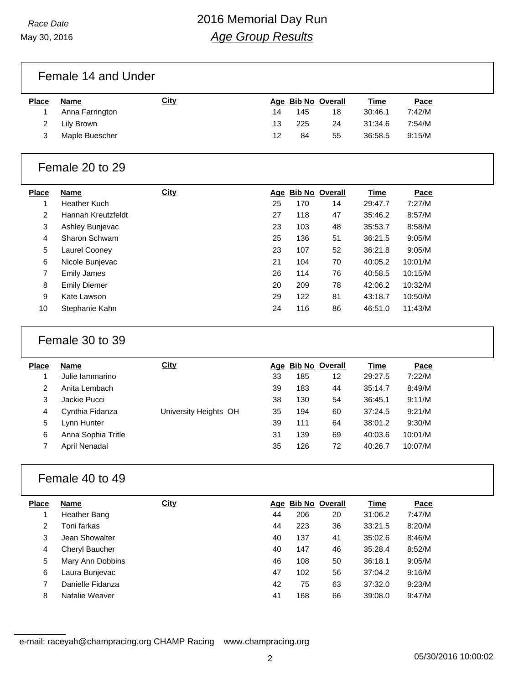May 30, 2016

# *Race Date* 2016 Memorial Day Run *Age Group Results*

Female 14 and Under

| <b>Place</b> | Name            | <u>City</u> |    |     | Age Bib No Overall | <u>Time</u> | Pace   |
|--------------|-----------------|-------------|----|-----|--------------------|-------------|--------|
|              | Anna Farrington |             | 14 | 145 | 18                 | 30:46.1     | 7:42/M |
|              | Lily Brown      |             | 13 | 225 | 24                 | 31:34.6     | 7:54/M |
|              | Maple Buescher  |             | 12 | 84  | 55                 | 36:58.5     | 9:15/M |

#### Female 20 to 29

| <b>Place</b> | <b>Name</b>         | <b>City</b> |    | Age Bib No Overall |    | <b>Time</b> | Pace    |
|--------------|---------------------|-------------|----|--------------------|----|-------------|---------|
| 1            | Heather Kuch        |             | 25 | 170                | 14 | 29:47.7     | 7:27/M  |
| 2            | Hannah Kreutzfeldt  |             | 27 | 118                | 47 | 35:46.2     | 8:57/M  |
| 3            | Ashley Bunjevac     |             | 23 | 103                | 48 | 35:53.7     | 8:58/M  |
| 4            | Sharon Schwam       |             | 25 | 136                | 51 | 36:21.5     | 9:05/M  |
| 5            | Laurel Cooney       |             | 23 | 107                | 52 | 36:21.8     | 9:05/M  |
| 6            | Nicole Bunjevac     |             | 21 | 104                | 70 | 40:05.2     | 10:01/M |
| 7            | <b>Emily James</b>  |             | 26 | 114                | 76 | 40:58.5     | 10:15/M |
| 8            | <b>Emily Diemer</b> |             | 20 | 209                | 78 | 42:06.2     | 10:32/M |
| 9            | Kate Lawson         |             | 29 | 122                | 81 | 43:18.7     | 10:50/M |
| 10           | Stephanie Kahn      |             | 24 | 116                | 86 | 46:51.0     | 11:43/M |

#### Female 30 to 39

| <b>Place</b> | <b>Name</b>        | City                  |    | Age Bib No Overall |    | Time    | Pace    |
|--------------|--------------------|-----------------------|----|--------------------|----|---------|---------|
|              | Julie lammarino    |                       | 33 | 185                | 12 | 29:27.5 | 7:22/M  |
| 2            | Anita Lembach      |                       | 39 | 183                | 44 | 35:14.7 | 8:49/M  |
| 3            | Jackie Pucci       |                       | 38 | 130                | 54 | 36:45.1 | 9:11/M  |
| 4            | Cynthia Fidanza    | University Heights OH | 35 | 194                | 60 | 37:24.5 | 9:21/M  |
| 5            | Lynn Hunter        |                       | 39 | 111                | 64 | 38:01.2 | 9:30/M  |
| 6            | Anna Sophia Tritle |                       | 31 | 139                | 69 | 40:03.6 | 10:01/M |
|              | April Nenadal      |                       | 35 | 126                | 72 | 40:26.7 | 10:07/M |
|              |                    |                       |    |                    |    |         |         |

#### Female 40 to 49

| <b>Place</b> | <b>Name</b>      | <b>City</b> |    | Age Bib No Overall |    | Time    | Pace   |
|--------------|------------------|-------------|----|--------------------|----|---------|--------|
|              | Heather Bang     |             | 44 | 206                | 20 | 31:06.2 | 7:47/M |
| 2            | Toni farkas      |             | 44 | 223                | 36 | 33:21.5 | 8:20/M |
| 3            | Jean Showalter   |             | 40 | 137                | 41 | 35:02.6 | 8:46/M |
| 4            | Cheryl Baucher   |             | 40 | 147                | 46 | 35:28.4 | 8:52/M |
| 5            | Mary Ann Dobbins |             | 46 | 108                | 50 | 36:18.1 | 9:05/M |
| 6            | Laura Bunjevac   |             | 47 | 102                | 56 | 37:04.2 | 9:16/M |
|              | Danielle Fidanza |             | 42 | 75                 | 63 | 37:32.0 | 9:23/M |
| 8            | Natalie Weaver   |             | 41 | 168                | 66 | 39:08.0 | 9:47/M |

e-mail: raceyah@champracing.org CHAMP Racing www.champracing.org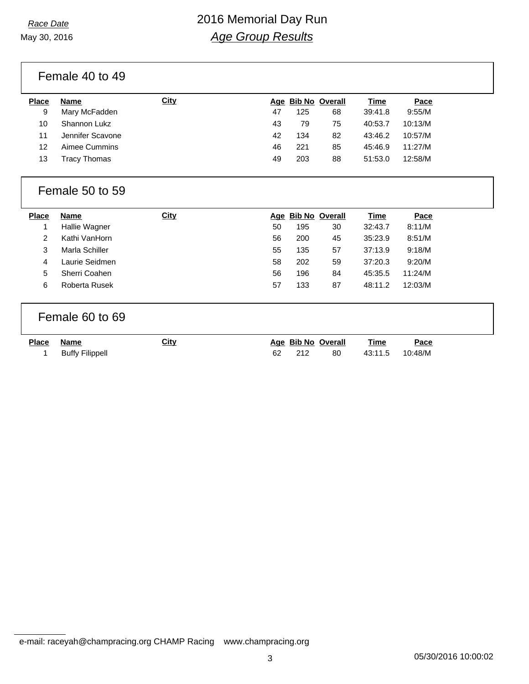May 30, 2016

# *Race Date* 2016 Memorial Day Run *Age Group Results*

Female 40 to 49

| Name             | <b>City</b> |    |     |    | <u>Time</u>        | Pace    |
|------------------|-------------|----|-----|----|--------------------|---------|
| Mary McFadden    |             | 47 | 125 | 68 | 39:41.8            | 9:55/M  |
| Shannon Lukz     |             | 43 | 79  | 75 | 40:53.7            | 10:13/M |
| Jennifer Scavone |             | 42 | 134 | 82 | 43:46.2            | 10:57/M |
| Aimee Cummins    |             | 46 | 221 | 85 | 45:46.9            | 11:27/M |
| Гracy Thomas     |             | 49 | 203 | 88 | 51:53.0            | 12:58/M |
|                  |             |    |     |    | Age Bib No Overall |         |

### Female 50 to 59

| Pace    |
|---------|
| 8:11/M  |
| 8:51/M  |
| 9:18/M  |
| 9:20/M  |
| 11:24/M |
| 12:03/M |
|         |

### Female 60 to 69

| <u>Place</u> | Name            | City | Age Bib No Overall |     | Time | Pace |
|--------------|-----------------|------|--------------------|-----|------|------|
|              | Buffy Filippell |      | 212                | -80 |      |      |

e-mail: raceyah@champracing.org CHAMP Racing www.champracing.org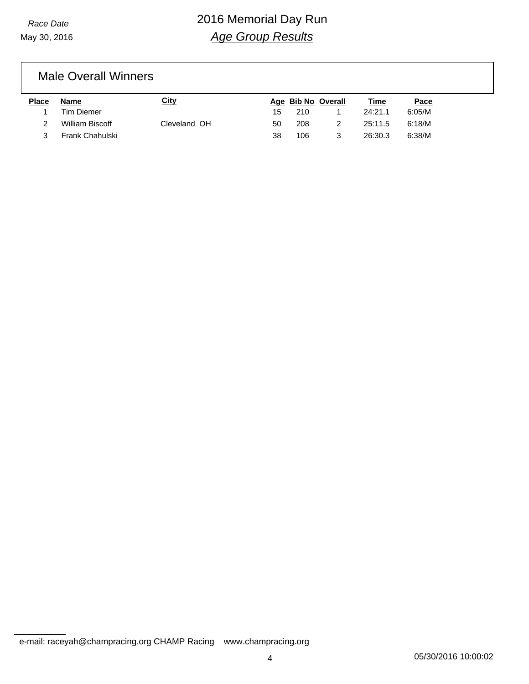May 30, 2016

# *Race Date* 2016 Memorial Day Run *Age Group Results*

### Male Overall Winners

| Place | Name              | <u>City</u>  |    |     | Age Bib No Overall | Time    | Pace   |
|-------|-------------------|--------------|----|-----|--------------------|---------|--------|
|       | <b>Tim Diemer</b> |              | 15 | 210 |                    | 24:21.1 | 6:05/M |
|       | William Biscoff   | Cleveland OH | 50 | 208 |                    | 25:11.5 | 6:18/M |
|       | Frank Chahulski   |              | 38 | 106 |                    | 26:30.3 | 6:38/M |

e-mail: raceyah@champracing.org CHAMP Racing www.champracing.org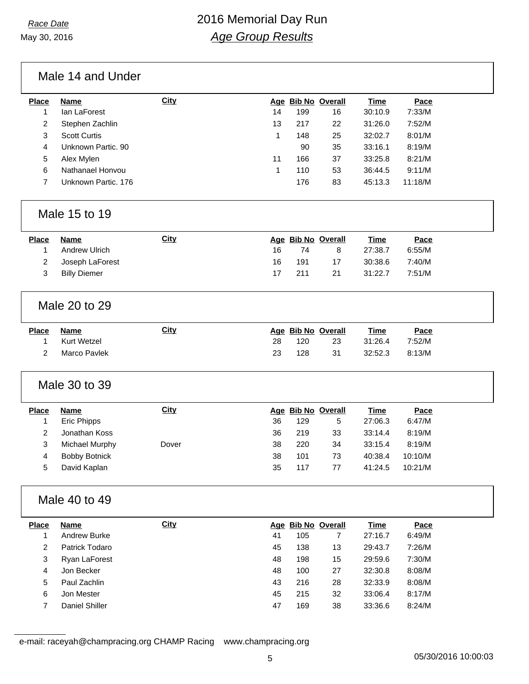## *Race Date* 2016 Memorial Day Run *Age Group Results*

Male 14 and Under

| <b>Place</b> | <b>Name</b>         | City |    | Age Bib No Overall |    | <b>Time</b> | Pace    |
|--------------|---------------------|------|----|--------------------|----|-------------|---------|
|              | lan LaForest        |      | 14 | 199                | 16 | 30:10.9     | 7:33/M  |
| 2            | Stephen Zachlin     |      | 13 | 217                | 22 | 31:26.0     | 7:52/M  |
| 3            | <b>Scott Curtis</b> |      |    | 148                | 25 | 32:02.7     | 8:01/M  |
| 4            | Unknown Partic. 90  |      |    | 90                 | 35 | 33:16.1     | 8:19/M  |
| 5            | Alex Mylen          |      | 11 | 166                | 37 | 33:25.8     | 8:21/M  |
| 6            | Nathanael Honvou    |      |    | 110                | 53 | 36:44.5     | 9:11/M  |
|              | Unknown Partic. 176 |      |    | 176                | 83 | 45:13.3     | 11:18/M |
|              |                     |      |    |                    |    |             |         |

#### Male 15 to 19

| <b>Place</b> | Name            | City |     | Age Bib No Overall |    | <b>Time</b> | Pace   |
|--------------|-----------------|------|-----|--------------------|----|-------------|--------|
|              | Andrew Ulrich   |      | 16. | 74                 | 8  | 27:38.7     | 6:55/M |
|              | Joseph LaForest |      | 16  | 191                | 17 | 30:38.6     | 7:40/M |
|              | Billy Diemer    |      |     | 211                | 21 | 31:22.7     | 7:51/M |

#### Male 20 to 29

| <u>Place</u> | Name         | City |     | Age Bib No Overall |     | Time    | Pace   |
|--------------|--------------|------|-----|--------------------|-----|---------|--------|
|              | Kurt Wetzel  |      | 28. | 120                | -23 | 31:26.4 | 7:52/M |
|              | Marco Pavlek |      | 23  | 128                | -31 | 32:52.3 | 8:13/M |

### Male 30 to 39

| <b>Place</b> | Name           | <u>City</u> |    | Age Bib No Overall |    | Time    | Pace    |
|--------------|----------------|-------------|----|--------------------|----|---------|---------|
|              | Eric Phipps    |             | 36 | 129                | 5  | 27:06.3 | 6:47/M  |
|              | Jonathan Koss  |             | 36 | 219                | 33 | 33:14.4 | 8:19/M  |
|              | Michael Murphy | Dover       | 38 | 220                | 34 | 33:15.4 | 8:19/M  |
| 4            | Bobby Botnick  |             | 38 | 101                | 73 | 40:38.4 | 10:10/M |
| 5.           | David Kaplan   |             | 35 | 117                | 77 | 41:24.5 | 10:21/M |

### Male 40 to 49

| <b>Place</b> | <b>Name</b>    | <b>City</b> |    |     | Age Bib No Overall | <b>Time</b> | Pace   |
|--------------|----------------|-------------|----|-----|--------------------|-------------|--------|
|              | Andrew Burke   |             | 41 | 105 |                    | 27:16.7     | 6:49/M |
| 2            | Patrick Todaro |             | 45 | 138 | 13                 | 29:43.7     | 7:26/M |
| 3            | Ryan LaForest  |             | 48 | 198 | 15                 | 29:59.6     | 7:30/M |
| 4            | Jon Becker     |             | 48 | 100 | 27                 | 32:30.8     | 8:08/M |
| 5            | Paul Zachlin   |             | 43 | 216 | 28                 | 32:33.9     | 8:08/M |
| 6            | Jon Mester     |             | 45 | 215 | 32                 | 33:06.4     | 8:17/M |
|              | Daniel Shiller |             | 47 | 169 | 38                 | 33:36.6     | 8:24/M |

e-mail: raceyah@champracing.org CHAMP Racing www.champracing.org